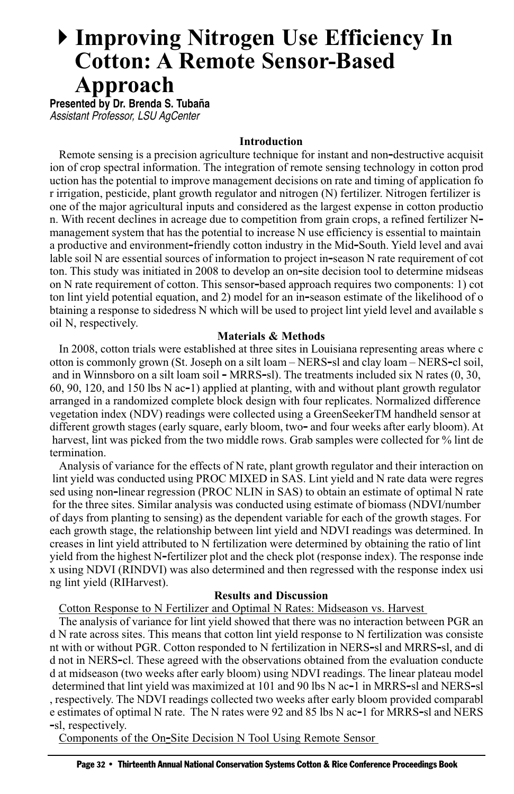# **Improving Nitrogen Use Efficiency In Cotton: A Remote Sensor-Based Approach**

**Presented by Dr. Brenda S. Tubaña** Assistant Professor, LSU AgCenter

#### **Introduction**

Remote sensing is a precision agriculture technique for instant and non-destructive acquisit ion of crop spectral information. The integration of remote sensing technology in cotton prod uction has the potential to improve management decisions on rate and timing of application fo r irrigation, pesticide, plant growth regulator and nitrogen (N) fertilizer. Nitrogen fertilizer is one of the major agricultural inputs and considered as the largest expense in cotton productio n. With recent declines in acreage due to competition from grain crops, a refined fertilizer N– management system that has the potential to increase N use efficiency is essential to maintain a productive and environment‐friendly cotton industry in the Mid‐South. Yield level and avai lable soil N are essential sources of information to project in-season N rate requirement of cot ton. This study was initiated in 2008 to develop an on‐site decision tool to determine midseas on N rate requirement of cotton. This sensor-based approach requires two components: 1) cot ton lint yield potential equation, and 2) model for an in-season estimate of the likelihood of o btaining a response to sidedress N which will be used to project lint yield level and available s oil N, respectively.

#### **Materials & Methods**

In 2008, cotton trials were established at three sites in Louisiana representing areas where c otton is commonly grown (St. Joseph on a silt loam – NERS‐sl and clay loam – NERS‐cl soil, and in Winnsboro on a silt loam soil – MRRS–sl). The treatments included six N rates  $(0, 30, 10)$ 60, 90, 120, and 150 lbs N ac‐1) applied at planting, with and without plant growth regulator arranged in a randomized complete block design with four replicates. Normalized difference vegetation index (NDV) readings were collected using a GreenSeekerTM handheld sensor at different growth stages (early square, early bloom, two- and four weeks after early bloom). At harvest, lint was picked from the two middle rows. Grab samples were collected for % lint de termination.

Analysis of variance for the effects of N rate, plant growth regulator and their interaction on lint yield was conducted using PROC MIXED in SAS. Lint yield and N rate data were regres sed using non-linear regression (PROC NLIN in SAS) to obtain an estimate of optimal N rate for the three sites. Similar analysis was conducted using estimate of biomass (NDVI/number of days from planting to sensing) as the dependent variable for each of the growth stages. For each growth stage, the relationship between lint yield and NDVI readings was determined. In creases in lint yield attributed to N fertilization were determined by obtaining the ratio of lint yield from the highest N-fertilizer plot and the check plot (response index). The response inde x using NDVI (RINDVI) was also determined and then regressed with the response index usi ng lint yield (RIHarvest).

### **Results and Discussion**

## Cotton Response to N Fertilizer and Optimal N Rates: Midseason vs. Harvest

The analysis of variance for lint yield showed that there was no interaction between PGR an d N rate across sites. This means that cotton lint yield response to N fertilization was consiste nt with or without PGR. Cotton responded to N fertilization in NERS‐sl and MRRS‐sl, and di d not in NERS‐cl. These agreed with the observations obtained from the evaluation conducte d at midseason (two weeks after early bloom) using NDVI readings. The linear plateau model determined that lint yield was maximized at 101 and 90 lbs N ac-1 in MRRS-sl and NERS-sl , respectively. The NDVI readings collected two weeks after early bloom provided comparabl e estimates of optimal N rate. The N rates were 92 and 85 lbs N ac-1 for MRRS-sl and NERS ‐sl, respectively.

Components of the On-Site Decision N Tool Using Remote Sensor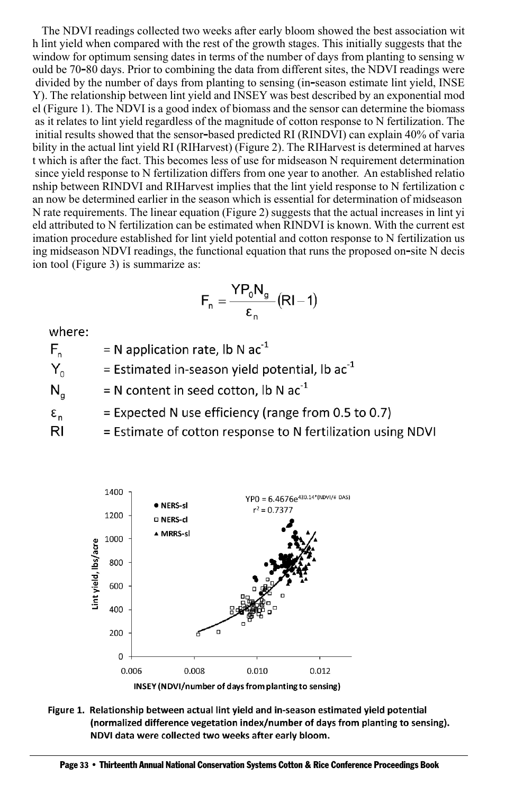The NDVI readings collected two weeks after early bloom showed the best association wit h lint yield when compared with the rest of the growth stages. This initially suggests that the window for optimum sensing dates in terms of the number of days from planting to sensing w ould be 70‐80 days. Prior to combining the data from different sites, the NDVI readings were divided by the number of days from planting to sensing (in-season estimate lint yield, INSE Y). The relationship between lint yield and INSEY was best described by an exponential mod el (Figure 1). The NDVI is a good index of biomass and the sensor can determine the biomass as it relates to lint yield regardless of the magnitude of cotton response to N fertilization. The initial results showed that the sensor‐based predicted RI (RINDVI) can explain 40% of varia bility in the actual lint yield RI (RIHarvest) (Figure 2). The RIHarvest is determined at harves t which is after the fact. This becomes less of use for midseason N requirement determination since yield response to N fertilization differs from one year to another. An established relatio nship between RINDVI and RIHarvest implies that the lint yield response to N fertilization c an now be determined earlier in the season which is essential for determination of midseason N rate requirements. The linear equation (Figure 2) suggests that the actual increases in lint yi eld attributed to N fertilization can be estimated when RINDVI is known. With the current est imation procedure established for lint yield potential and cotton response to N fertilization us ing midseason NDVI readings, the functional equation that runs the proposed on-site N decis ion tool (Figure 3) is summarize as:

$$
F_n = \frac{YP_0 N_g}{\epsilon_n} (RI - 1)
$$

where:

= N application rate, lb N  $ac^{-1}$  $F_{n}$ = Estimated in-season yield potential, lb  $ac^{-1}$ Y. = N content in seed cotton, lb N  $ac^{-1}$  $N_{\alpha}$ = Expected N use efficiency (range from 0.5 to 0.7)  $\epsilon_{n}$ 

 $R<sub>l</sub>$ = Estimate of cotton response to N fertilization using NDVI



Figure 1. Relationship between actual lint yield and in-season estimated yield potential (normalized difference vegetation index/number of days from planting to sensing). NDVI data were collected two weeks after early bloom.